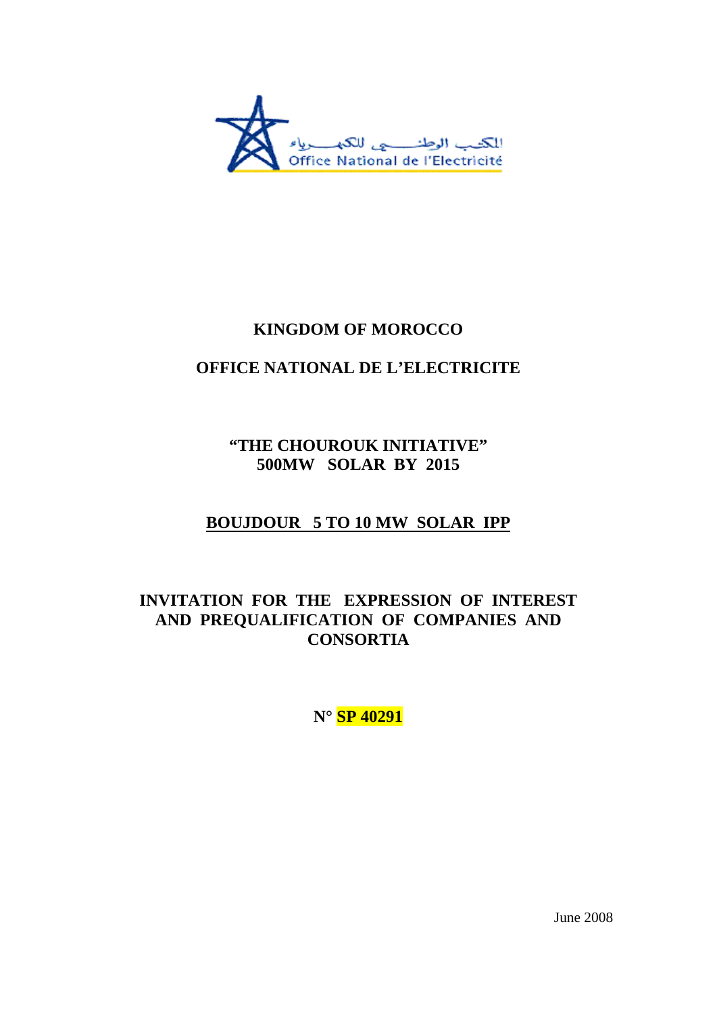

# **KINGDOM OF MOROCCO**

# **OFFICE NATIONAL DE L'ELECTRICITE**

**"THE CHOUROUK INITIATIVE" 500MW SOLAR BY 2015** 

# **BOUJDOUR 5 TO 10 MW SOLAR IPP**

# **INVITATION FOR THE EXPRESSION OF INTEREST AND PREQUALIFICATION OF COMPANIES AND CONSORTIA**

**N° SP 40291**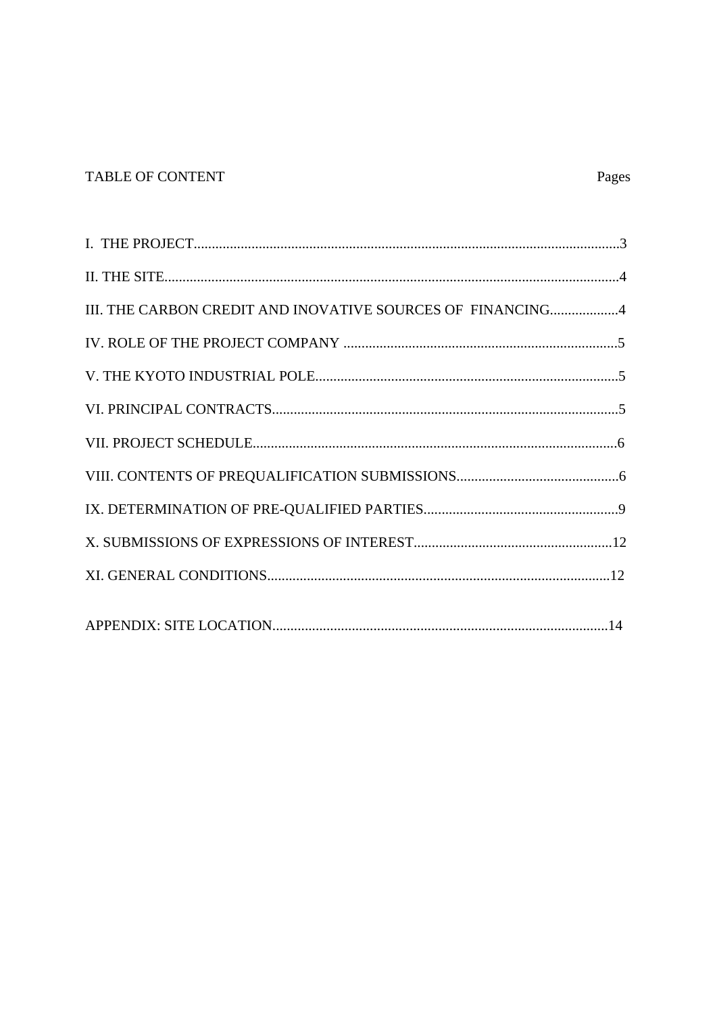## TABLE OF CONTENT

| III. THE CARBON CREDIT AND INOVATIVE SOURCES OF FINANCING4 |
|------------------------------------------------------------|
|                                                            |
|                                                            |
|                                                            |
|                                                            |
|                                                            |
|                                                            |
|                                                            |
|                                                            |
|                                                            |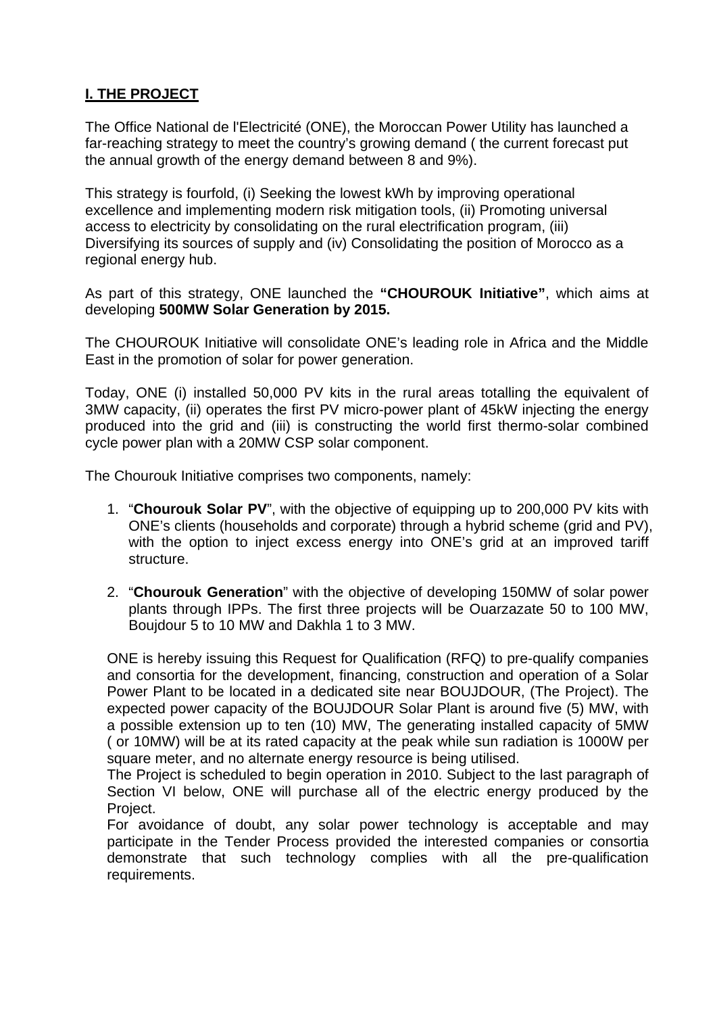## **I. THE PROJECT**

The Office National de l'Electricité (ONE), the Moroccan Power Utility has launched a far-reaching strategy to meet the country's growing demand ( the current forecast put the annual growth of the energy demand between 8 and 9%).

This strategy is fourfold, (i) Seeking the lowest kWh by improving operational excellence and implementing modern risk mitigation tools, (ii) Promoting universal access to electricity by consolidating on the rural electrification program, (iii) Diversifying its sources of supply and (iv) Consolidating the position of Morocco as a regional energy hub.

As part of this strategy, ONE launched the **"CHOUROUK Initiative"**, which aims at developing **500MW Solar Generation by 2015.**

The CHOUROUK Initiative will consolidate ONE's leading role in Africa and the Middle East in the promotion of solar for power generation.

Today, ONE (i) installed 50,000 PV kits in the rural areas totalling the equivalent of 3MW capacity, (ii) operates the first PV micro-power plant of 45kW injecting the energy produced into the grid and (iii) is constructing the world first thermo-solar combined cycle power plan with a 20MW CSP solar component.

The Chourouk Initiative comprises two components, namely:

- 1. "**Chourouk Solar PV**", with the objective of equipping up to 200,000 PV kits with ONE's clients (households and corporate) through a hybrid scheme (grid and PV), with the option to inject excess energy into ONE's grid at an improved tariff structure.
- 2. "**Chourouk Generation**" with the objective of developing 150MW of solar power plants through IPPs. The first three projects will be Ouarzazate 50 to 100 MW, Boujdour 5 to 10 MW and Dakhla 1 to 3 MW.

ONE is hereby issuing this Request for Qualification (RFQ) to pre-qualify companies and consortia for the development, financing, construction and operation of a Solar Power Plant to be located in a dedicated site near BOUJDOUR, (The Project). The expected power capacity of the BOUJDOUR Solar Plant is around five (5) MW, with a possible extension up to ten (10) MW, The generating installed capacity of 5MW ( or 10MW) will be at its rated capacity at the peak while sun radiation is 1000W per square meter, and no alternate energy resource is being utilised.

The Project is scheduled to begin operation in 2010. Subject to the last paragraph of Section VI below, ONE will purchase all of the electric energy produced by the Project.

For avoidance of doubt, any solar power technology is acceptable and may participate in the Tender Process provided the interested companies or consortia demonstrate that such technology complies with all the pre-qualification requirements.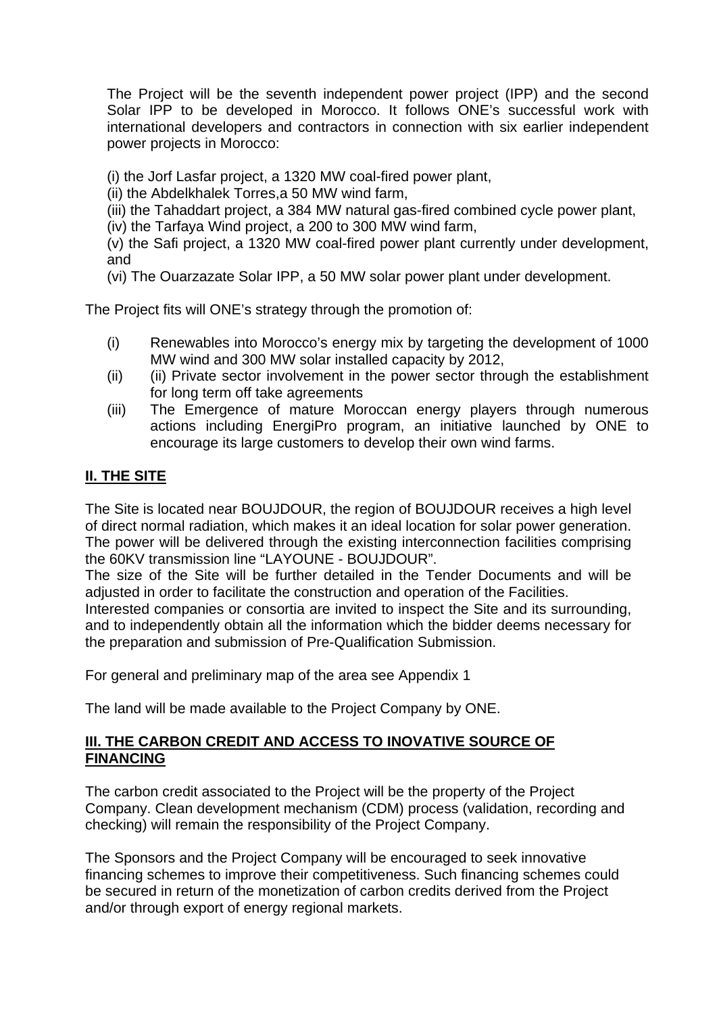The Project will be the seventh independent power project (IPP) and the second Solar IPP to be developed in Morocco. It follows ONE's successful work with international developers and contractors in connection with six earlier independent power projects in Morocco:

(i) the Jorf Lasfar project, a 1320 MW coal-fired power plant,

(ii) the Abdelkhalek Torres,a 50 MW wind farm,

(iii) the Tahaddart project, a 384 MW natural gas-fired combined cycle power plant,

(iv) the Tarfaya Wind project, a 200 to 300 MW wind farm,

(v) the Safi project, a 1320 MW coal-fired power plant currently under development, and

(vi) The Ouarzazate Solar IPP, a 50 MW solar power plant under development.

The Project fits will ONE's strategy through the promotion of:

- (i) Renewables into Morocco's energy mix by targeting the development of 1000 MW wind and 300 MW solar installed capacity by 2012,
- (ii) (ii) Private sector involvement in the power sector through the establishment for long term off take agreements
- (iii) The Emergence of mature Moroccan energy players through numerous actions including EnergiPro program, an initiative launched by ONE to encourage its large customers to develop their own wind farms.

## **II. THE SITE**

The Site is located near BOUJDOUR, the region of BOUJDOUR receives a high level of direct normal radiation, which makes it an ideal location for solar power generation. The power will be delivered through the existing interconnection facilities comprising the 60KV transmission line "LAYOUNE - BOUJDOUR".

The size of the Site will be further detailed in the Tender Documents and will be adjusted in order to facilitate the construction and operation of the Facilities.

Interested companies or consortia are invited to inspect the Site and its surrounding, and to independently obtain all the information which the bidder deems necessary for the preparation and submission of Pre-Qualification Submission.

For general and preliminary map of the area see Appendix 1

The land will be made available to the Project Company by ONE.

### **III. THE CARBON CREDIT AND ACCESS TO INOVATIVE SOURCE OF FINANCING**

The carbon credit associated to the Project will be the property of the Project Company. Clean development mechanism (CDM) process (validation, recording and checking) will remain the responsibility of the Project Company.

The Sponsors and the Project Company will be encouraged to seek innovative financing schemes to improve their competitiveness. Such financing schemes could be secured in return of the monetization of carbon credits derived from the Project and/or through export of energy regional markets.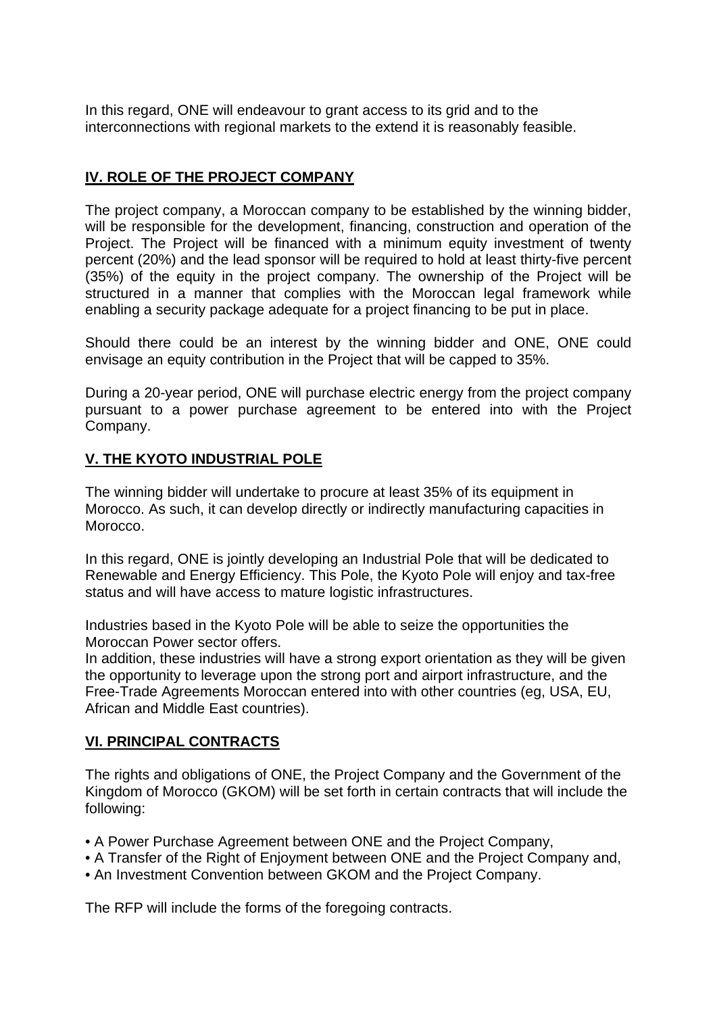In this regard, ONE will endeavour to grant access to its grid and to the interconnections with regional markets to the extend it is reasonably feasible.

## **IV. ROLE OF THE PROJECT COMPANY**

The project company, a Moroccan company to be established by the winning bidder, will be responsible for the development, financing, construction and operation of the Project. The Project will be financed with a minimum equity investment of twenty percent (20%) and the lead sponsor will be required to hold at least thirty-five percent (35%) of the equity in the project company. The ownership of the Project will be structured in a manner that complies with the Moroccan legal framework while enabling a security package adequate for a project financing to be put in place.

Should there could be an interest by the winning bidder and ONE, ONE could envisage an equity contribution in the Project that will be capped to 35%.

During a 20-year period, ONE will purchase electric energy from the project company pursuant to a power purchase agreement to be entered into with the Project Company.

## **V. THE KYOTO INDUSTRIAL POLE**

The winning bidder will undertake to procure at least 35% of its equipment in Morocco. As such, it can develop directly or indirectly manufacturing capacities in Morocco.

In this regard, ONE is jointly developing an Industrial Pole that will be dedicated to Renewable and Energy Efficiency. This Pole, the Kyoto Pole will enjoy and tax-free status and will have access to mature logistic infrastructures.

Industries based in the Kyoto Pole will be able to seize the opportunities the Moroccan Power sector offers.

In addition, these industries will have a strong export orientation as they will be given the opportunity to leverage upon the strong port and airport infrastructure, and the Free-Trade Agreements Moroccan entered into with other countries (eg, USA, EU, African and Middle East countries).

## **VI. PRINCIPAL CONTRACTS**

The rights and obligations of ONE, the Project Company and the Government of the Kingdom of Morocco (GKOM) will be set forth in certain contracts that will include the following:

- A Power Purchase Agreement between ONE and the Project Company,
- A Transfer of the Right of Enjoyment between ONE and the Project Company and,
- An Investment Convention between GKOM and the Project Company.

The RFP will include the forms of the foregoing contracts.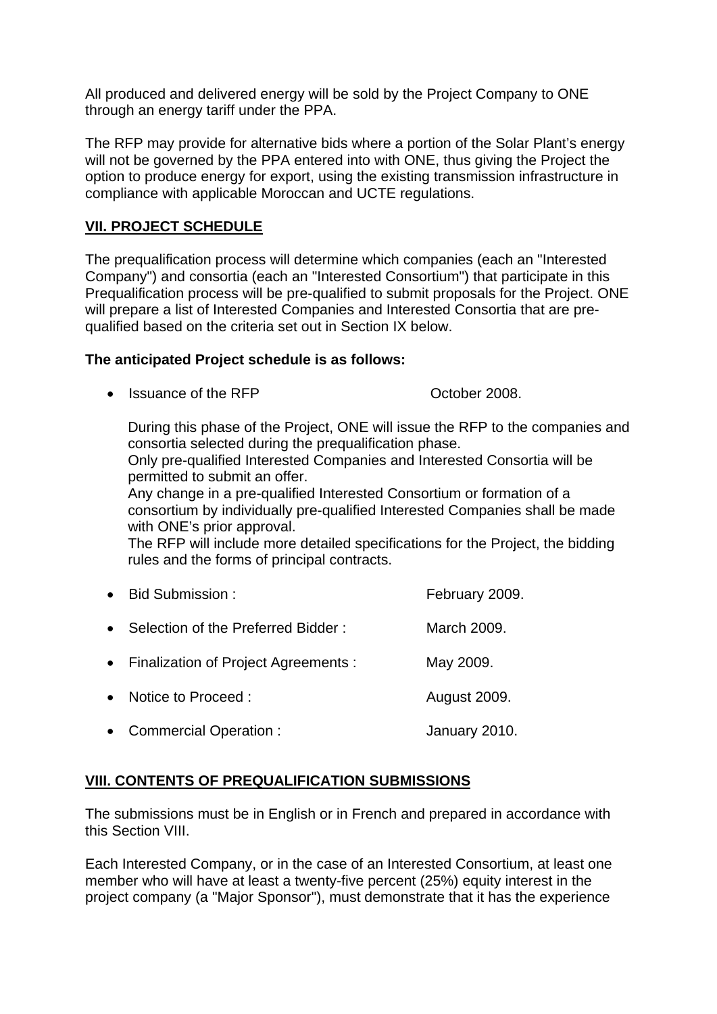All produced and delivered energy will be sold by the Project Company to ONE through an energy tariff under the PPA.

The RFP may provide for alternative bids where a portion of the Solar Plant's energy will not be governed by the PPA entered into with ONE, thus giving the Project the option to produce energy for export, using the existing transmission infrastructure in compliance with applicable Moroccan and UCTE regulations.

## **VII. PROJECT SCHEDULE**

The prequalification process will determine which companies (each an "Interested Company") and consortia (each an "Interested Consortium") that participate in this Prequalification process will be pre-qualified to submit proposals for the Project. ONE will prepare a list of Interested Companies and Interested Consortia that are prequalified based on the criteria set out in Section IX below.

### **The anticipated Project schedule is as follows:**

• Issuance of the RFP **CHACK COCT** October 2008.

During this phase of the Project, ONE will issue the RFP to the companies and consortia selected during the prequalification phase.

Only pre-qualified Interested Companies and Interested Consortia will be permitted to submit an offer.

Any change in a pre-qualified Interested Consortium or formation of a consortium by individually pre-qualified Interested Companies shall be made with ONE's prior approval.

The RFP will include more detailed specifications for the Project, the bidding rules and the forms of principal contracts.

| • Bid Submission:                      | February 2009.      |
|----------------------------------------|---------------------|
| • Selection of the Preferred Bidder:   | March 2009.         |
| • Finalization of Project Agreements : | May 2009.           |
| • Notice to Proceed :                  | <b>August 2009.</b> |
| • Commercial Operation :               | January 2010.       |

## **VIII. CONTENTS OF PREQUALIFICATION SUBMISSIONS**

The submissions must be in English or in French and prepared in accordance with this Section VIII.

Each Interested Company, or in the case of an Interested Consortium, at least one member who will have at least a twenty-five percent (25%) equity interest in the project company (a "Major Sponsor"), must demonstrate that it has the experience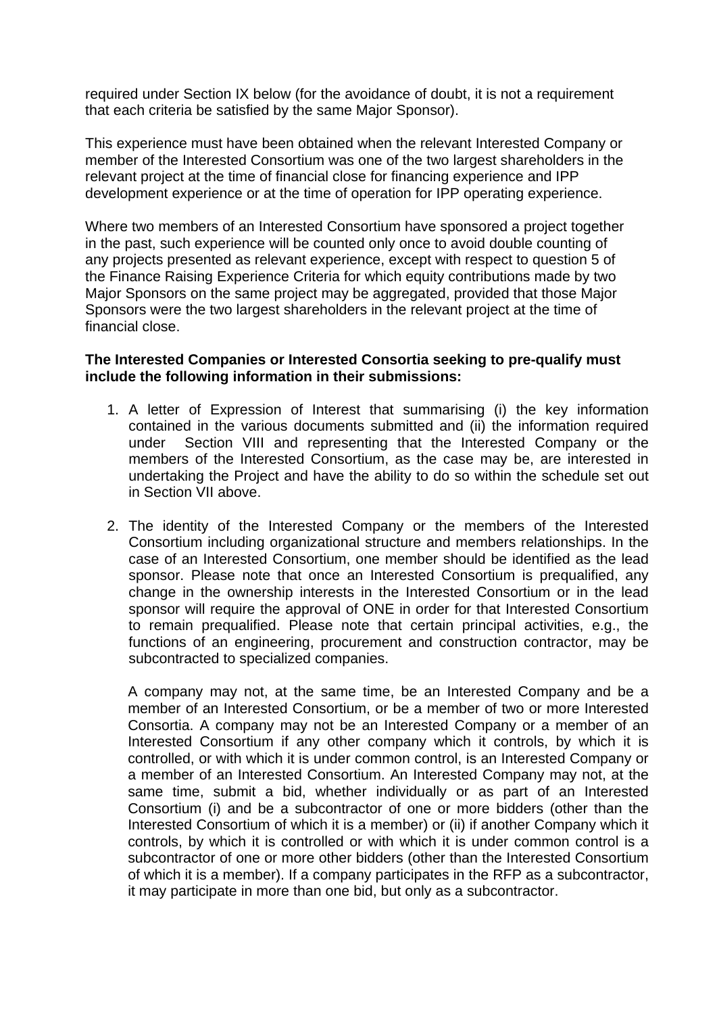required under Section IX below (for the avoidance of doubt, it is not a requirement that each criteria be satisfied by the same Major Sponsor).

This experience must have been obtained when the relevant Interested Company or member of the Interested Consortium was one of the two largest shareholders in the relevant project at the time of financial close for financing experience and IPP development experience or at the time of operation for IPP operating experience.

Where two members of an Interested Consortium have sponsored a project together in the past, such experience will be counted only once to avoid double counting of any projects presented as relevant experience, except with respect to question 5 of the Finance Raising Experience Criteria for which equity contributions made by two Major Sponsors on the same project may be aggregated, provided that those Major Sponsors were the two largest shareholders in the relevant project at the time of financial close.

#### **The Interested Companies or Interested Consortia seeking to pre-qualify must include the following information in their submissions:**

- 1. A letter of Expression of Interest that summarising (i) the key information contained in the various documents submitted and (ii) the information required under Section VIII and representing that the Interested Company or the members of the Interested Consortium, as the case may be, are interested in undertaking the Project and have the ability to do so within the schedule set out in Section VII above.
- 2. The identity of the Interested Company or the members of the Interested Consortium including organizational structure and members relationships. In the case of an Interested Consortium, one member should be identified as the lead sponsor. Please note that once an Interested Consortium is prequalified, any change in the ownership interests in the Interested Consortium or in the lead sponsor will require the approval of ONE in order for that Interested Consortium to remain prequalified. Please note that certain principal activities, e.g., the functions of an engineering, procurement and construction contractor, may be subcontracted to specialized companies.

A company may not, at the same time, be an Interested Company and be a member of an Interested Consortium, or be a member of two or more Interested Consortia. A company may not be an Interested Company or a member of an Interested Consortium if any other company which it controls, by which it is controlled, or with which it is under common control, is an Interested Company or a member of an Interested Consortium. An Interested Company may not, at the same time, submit a bid, whether individually or as part of an Interested Consortium (i) and be a subcontractor of one or more bidders (other than the Interested Consortium of which it is a member) or (ii) if another Company which it controls, by which it is controlled or with which it is under common control is a subcontractor of one or more other bidders (other than the Interested Consortium of which it is a member). If a company participates in the RFP as a subcontractor, it may participate in more than one bid, but only as a subcontractor.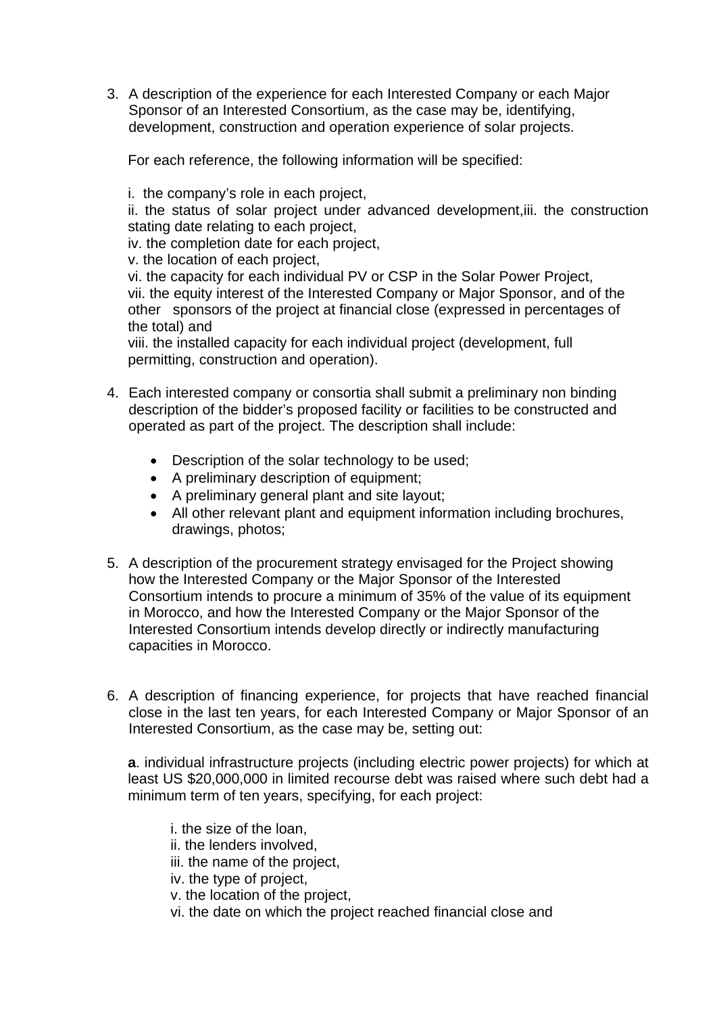3. A description of the experience for each Interested Company or each Major Sponsor of an Interested Consortium, as the case may be, identifying, development, construction and operation experience of solar projects.

For each reference, the following information will be specified:

i. the company's role in each project,

ii. the status of solar project under advanced development,iii. the construction stating date relating to each project,

iv. the completion date for each project,

v. the location of each project,

vi. the capacity for each individual PV or CSP in the Solar Power Project, vii. the equity interest of the Interested Company or Major Sponsor, and of the other sponsors of the project at financial close (expressed in percentages of the total) and

viii. the installed capacity for each individual project (development, full permitting, construction and operation).

- 4. Each interested company or consortia shall submit a preliminary non binding description of the bidder's proposed facility or facilities to be constructed and operated as part of the project. The description shall include:
	- Description of the solar technology to be used;
	- A preliminary description of equipment;
	- A preliminary general plant and site layout;
	- All other relevant plant and equipment information including brochures, drawings, photos;
- 5. A description of the procurement strategy envisaged for the Project showing how the Interested Company or the Major Sponsor of the Interested Consortium intends to procure a minimum of 35% of the value of its equipment in Morocco, and how the Interested Company or the Major Sponsor of the Interested Consortium intends develop directly or indirectly manufacturing capacities in Morocco.
- 6. A description of financing experience, for projects that have reached financial close in the last ten years, for each Interested Company or Major Sponsor of an Interested Consortium, as the case may be, setting out:

**a**. individual infrastructure projects (including electric power projects) for which at least US \$20,000,000 in limited recourse debt was raised where such debt had a minimum term of ten years, specifying, for each project:

i. the size of the loan, ii. the lenders involved, iii. the name of the project, iv. the type of project, v. the location of the project, vi. the date on which the project reached financial close and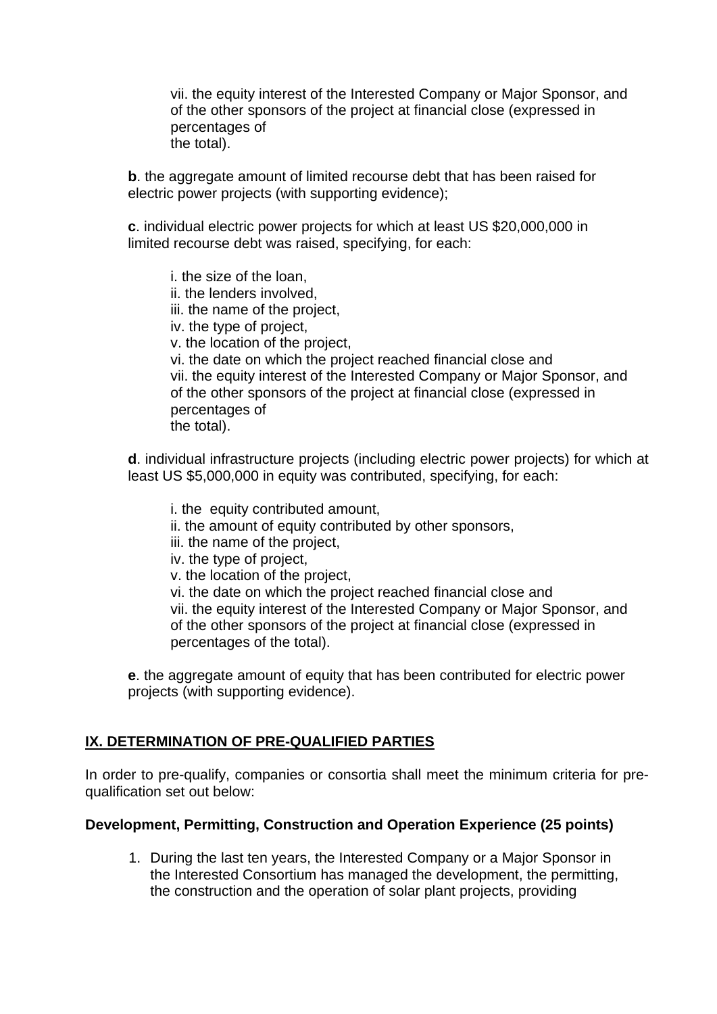vii. the equity interest of the Interested Company or Major Sponsor, and of the other sponsors of the project at financial close (expressed in percentages of the total).

**b**. the aggregate amount of limited recourse debt that has been raised for electric power projects (with supporting evidence);

**c**. individual electric power projects for which at least US \$20,000,000 in limited recourse debt was raised, specifying, for each:

i. the size of the loan, ii. the lenders involved, iii. the name of the project, iv. the type of project, v. the location of the project, vi. the date on which the project reached financial close and vii. the equity interest of the Interested Company or Major Sponsor, and of the other sponsors of the project at financial close (expressed in percentages of the total).

**d**. individual infrastructure projects (including electric power projects) for which at least US \$5,000,000 in equity was contributed, specifying, for each:

i. the equity contributed amount, ii. the amount of equity contributed by other sponsors, iii. the name of the project, iv. the type of project, v. the location of the project, vi. the date on which the project reached financial close and vii. the equity interest of the Interested Company or Major Sponsor, and of the other sponsors of the project at financial close (expressed in percentages of the total).

**e**. the aggregate amount of equity that has been contributed for electric power projects (with supporting evidence).

## **IX. DETERMINATION OF PRE-QUALIFIED PARTIES**

In order to pre-qualify, companies or consortia shall meet the minimum criteria for prequalification set out below:

#### **Development, Permitting, Construction and Operation Experience (25 points)**

1. During the last ten years, the Interested Company or a Major Sponsor in the Interested Consortium has managed the development, the permitting, the construction and the operation of solar plant projects, providing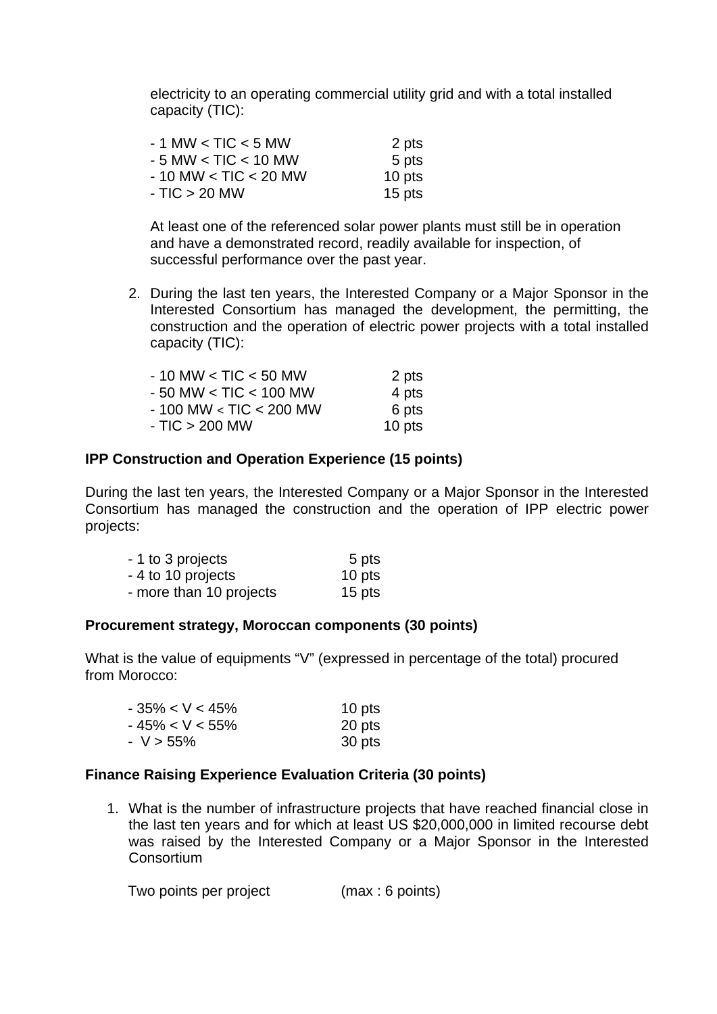electricity to an operating commercial utility grid and with a total installed capacity (TIC):

| $-1$ MW $<$ TIC $<$ 5 MW   | 2 pts  |
|----------------------------|--------|
| $-5$ MW $<$ TIC $<$ 10 MW  | 5 pts  |
| $-10$ MW $<$ TIC $<$ 20 MW | 10 pts |
| $- TIC > 20 MW$            | 15 pts |

At least one of the referenced solar power plants must still be in operation and have a demonstrated record, readily available for inspection, of successful performance over the past year.

2. During the last ten years, the Interested Company or a Major Sponsor in the Interested Consortium has managed the development, the permitting, the construction and the operation of electric power projects with a total installed capacity (TIC):

| - 10 MW < TIC < 50 MW   | 2 pts  |
|-------------------------|--------|
| - 50 MW < TIC < 100 MW  | 4 pts  |
| - 100 MW < TIC < 200 MW | 6 pts  |
| - TIC > 200 MW          | 10 pts |

### **IPP Construction and Operation Experience (15 points)**

During the last ten years, the Interested Company or a Major Sponsor in the Interested Consortium has managed the construction and the operation of IPP electric power projects:

| - 1 to 3 projects       | 5 pts  |
|-------------------------|--------|
| - 4 to 10 projects      | 10 pts |
| - more than 10 projects | 15 pts |

#### **Procurement strategy, Moroccan components (30 points)**

What is the value of equipments "V" (expressed in percentage of the total) procured from Morocco:

| $-35\% < V < 45\%$ | 10 pts |
|--------------------|--------|
| - 45% < V < 55%    | 20 pts |
| - V > 55%          | 30 pts |

#### **Finance Raising Experience Evaluation Criteria (30 points)**

1. What is the number of infrastructure projects that have reached financial close in the last ten years and for which at least US \$20,000,000 in limited recourse debt was raised by the Interested Company or a Major Sponsor in the Interested **Consortium** 

Two points per project (max : 6 points)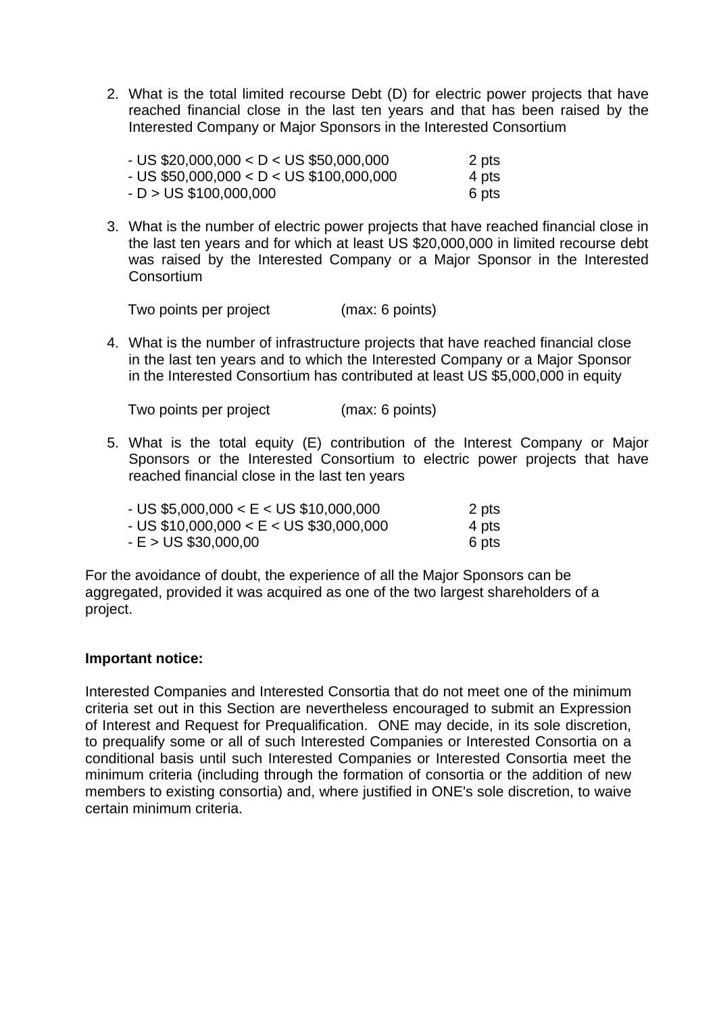2. What is the total limited recourse Debt (D) for electric power projects that have reached financial close in the last ten years and that has been raised by the Interested Company or Major Sponsors in the Interested Consortium

| - US \$20,000,000 < D < US \$50,000,000  | 2 pts |
|------------------------------------------|-------|
| - US \$50,000,000 < D < US \$100,000,000 | 4 pts |
| $-D > US $100,000,000$                   | 6 pts |

3. What is the number of electric power projects that have reached financial close in the last ten years and for which at least US \$20,000,000 in limited recourse debt was raised by the Interested Company or a Major Sponsor in the Interested **Consortium** 

Two points per project (max: 6 points)

4. What is the number of infrastructure projects that have reached financial close in the last ten years and to which the Interested Company or a Major Sponsor in the Interested Consortium has contributed at least US \$5,000,000 in equity

Two points per project (max: 6 points)

5. What is the total equity (E) contribution of the Interest Company or Major Sponsors or the Interested Consortium to electric power projects that have reached financial close in the last ten years

| - US \$5,000,000 < E < US \$10,000,000  | 2 pts |
|-----------------------------------------|-------|
| - US \$10,000,000 < E < US \$30,000,000 | 4 pts |
| - E > US \$30,000,00                    | 6 pts |

For the avoidance of doubt, the experience of all the Major Sponsors can be aggregated, provided it was acquired as one of the two largest shareholders of a project.

#### **Important notice:**

Interested Companies and Interested Consortia that do not meet one of the minimum criteria set out in this Section are nevertheless encouraged to submit an Expression of Interest and Request for Prequalification. ONE may decide, in its sole discretion, to prequalify some or all of such Interested Companies or Interested Consortia on a conditional basis until such Interested Companies or Interested Consortia meet the minimum criteria (including through the formation of consortia or the addition of new members to existing consortia) and, where justified in ONE's sole discretion, to waive certain minimum criteria.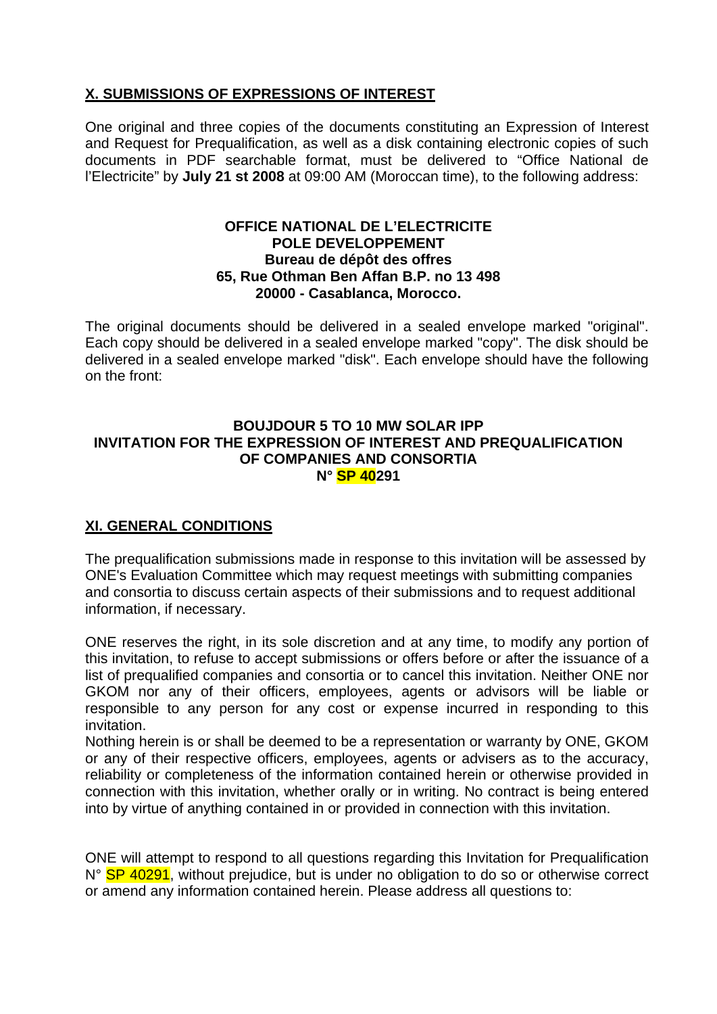## **X. SUBMISSIONS OF EXPRESSIONS OF INTEREST**

One original and three copies of the documents constituting an Expression of Interest and Request for Prequalification, as well as a disk containing electronic copies of such documents in PDF searchable format, must be delivered to "Office National de l'Electricite" by **July 21 st 2008** at 09:00 AM (Moroccan time), to the following address:

#### **OFFICE NATIONAL DE L'ELECTRICITE POLE DEVELOPPEMENT Bureau de dépôt des offres 65, Rue Othman Ben Affan B.P. no 13 498 20000 - Casablanca, Morocco.**

The original documents should be delivered in a sealed envelope marked "original". Each copy should be delivered in a sealed envelope marked "copy". The disk should be delivered in a sealed envelope marked "disk". Each envelope should have the following on the front:

#### **BOUJDOUR 5 TO 10 MW SOLAR IPP INVITATION FOR THE EXPRESSION OF INTEREST AND PREQUALIFICATION OF COMPANIES AND CONSORTIA N° SP 40291**

## **XI. GENERAL CONDITIONS**

The prequalification submissions made in response to this invitation will be assessed by ONE's Evaluation Committee which may request meetings with submitting companies and consortia to discuss certain aspects of their submissions and to request additional information, if necessary.

ONE reserves the right, in its sole discretion and at any time, to modify any portion of this invitation, to refuse to accept submissions or offers before or after the issuance of a list of prequalified companies and consortia or to cancel this invitation. Neither ONE nor GKOM nor any of their officers, employees, agents or advisors will be liable or responsible to any person for any cost or expense incurred in responding to this invitation.

Nothing herein is or shall be deemed to be a representation or warranty by ONE, GKOM or any of their respective officers, employees, agents or advisers as to the accuracy, reliability or completeness of the information contained herein or otherwise provided in connection with this invitation, whether orally or in writing. No contract is being entered into by virtue of anything contained in or provided in connection with this invitation.

ONE will attempt to respond to all questions regarding this Invitation for Prequalification N° SP 40291, without prejudice, but is under no obligation to do so or otherwise correct or amend any information contained herein. Please address all questions to: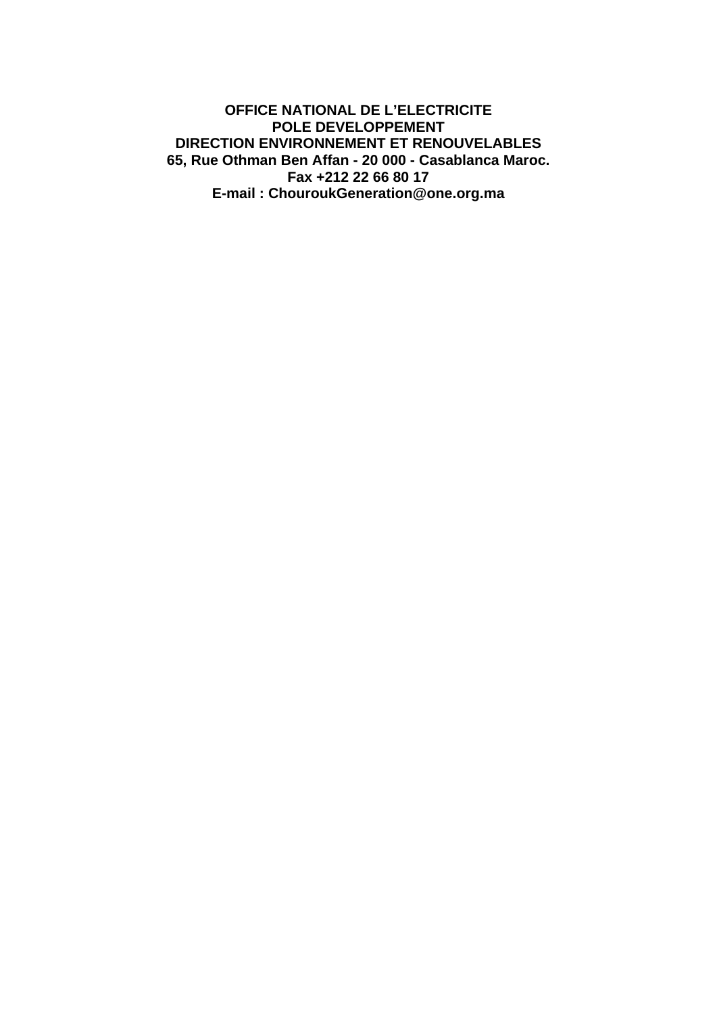#### **OFFICE NATIONAL DE L'ELECTRICITE POLE DEVELOPPEMENT DIRECTION ENVIRONNEMENT ET RENOUVELABLES 65, Rue Othman Ben Affan - 20 000 - Casablanca Maroc. Fax +212 22 66 80 17 E-mail : ChouroukGeneration@one.org.ma**